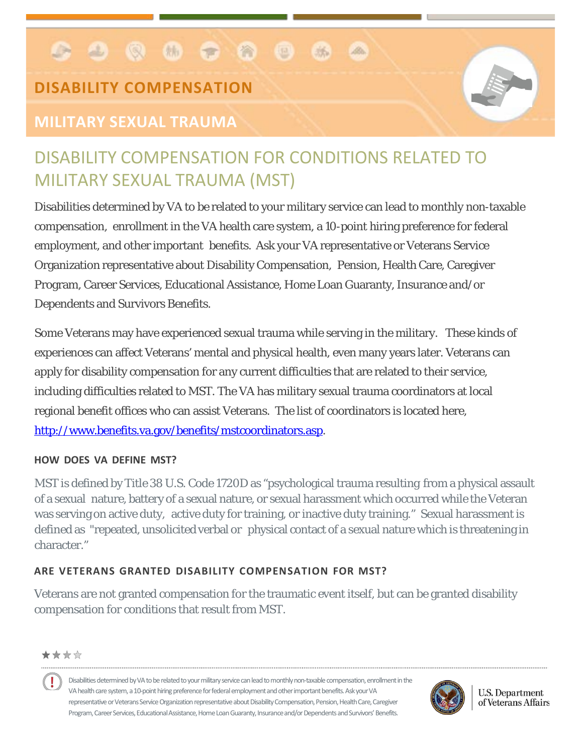#### . . . . . .  $\Box$ 练  $ABa$

# **DISABILITY COMPENSATION**

# **MILITARY SEXUAL TRAUMA**



# DISABILITY COMPENSATION FOR CONDITIONS RELATED TO MILITARY SEXUAL TRAUMA (MST)

Disabilities determined by VA to be related to your military service can lead to monthly non-taxable compensation, enrollment in the VA health care system, a 10-point hiring preference for federal employment, and other important benefits. Ask your VA representative or Veterans Service Organization representative about Disability Compensation, Pension, Health Care, Caregiver Program, Career Services, Educational Assistance, Home Loan Guaranty, Insurance and/or Dependents and Survivors Benefits.

Some Veterans may have experienced sexual trauma while serving in the military. These kinds of experiences can affect Veterans' mental and physical health, even many years later. Veterans can apply for disability compensation for any current difficulties that are related to their service, including difficulties related to MST. The VA has military sexual trauma coordinators at local regional benefit offices who can assist Veterans. The list of coordinators is located here, [http://www.benefits.va.gov/benefits/mstcoordinators.asp.](http://www.benefits.va.gov/benefits/mstcoordinators.asp)

#### **HOW DOES VA DEFINE MST?**

MST is defined by Title 38 U.S. Code 1720D as "psychological trauma resulting from a physical assault of a sexual nature, battery of a sexual nature, or sexual harassment which occurred while the Veteran was serving on active duty, active duty for training, or inactive duty training." Sexual harassment is defined as "repeated, unsolicited verbal or physical contact of a sexual nature which is threatening in character."

### **ARE VETERANS GRANTED DISABILITY COMPENSATION FOR MST?**

Veterans are not granted compensation for the traumatic event itself, but can be granted disability compensation for conditions that result from MST.

#### \*\*\*\*

Ţ Disabilities determined by VA to be related to your military service can lead to monthly non-taxable compensation, enrollment in the VA health care system, a 10-point hiring preference for federal employment and other important benefits. Ask your VA representative or Veterans Service Organization representative about Disability Compensation, Pension, Health Care, Caregiver Program, Career Services, Educational Assistance, Home Loan Guaranty, Insurance and/or Dependents and Survivors' Benefits.



**U.S. Department** of Veterans Affairs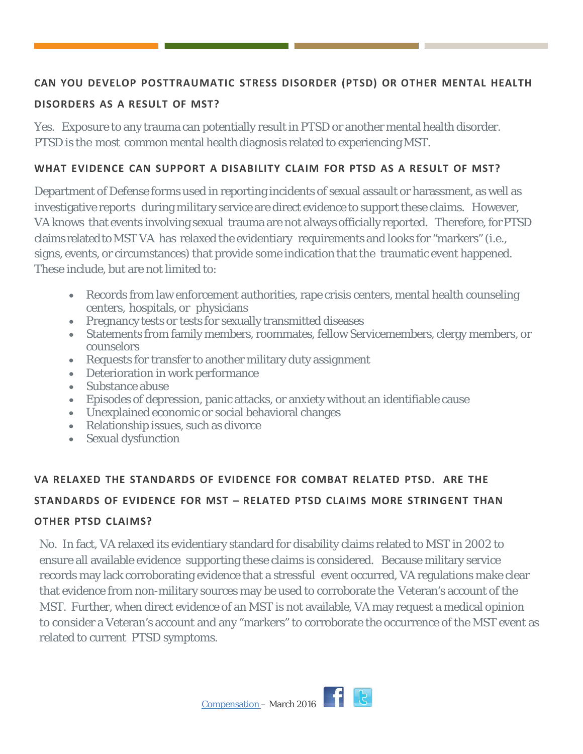#### **CAN YOU DEVELOP POSTTRAUMATIC STRESS DISORDER (PTSD) OR OTHER MENTAL HEALTH**

#### **DISORDERS AS A RESULT OF MST?**

Yes. Exposure to any trauma can potentially result in PTSD or another mental health disorder. PTSD is the most common mental health diagnosis related to experiencing MST.

#### **WHAT EVIDENCE CAN SUPPORT A DISABILITY CLAIM FOR PTSD AS A RESULT OF MST?**

Department of Defense forms used in reporting incidents of sexual assault or harassment, as well as investigative reports during military service are direct evidence to support these claims. However, VA knows that events involving sexual trauma are not always officially reported. Therefore, for PTSD claims relatedtoMST VA has relaxed the evidentiary requirements and looks for "markers" (i.e., signs, events, or circumstances) that provide some indication that the traumatic event happened. These include, but are not limited to:

- Records from law enforcement authorities, rape crisis centers, mental health counseling centers, hospitals, or physicians
- Pregnancy tests or tests for sexually transmitted diseases
- Statements from family members, roommates, fellow Servicemembers, clergy members, or counselors
- Requests for transfer to another military duty assignment
- Deterioration in work performance
- Substance abuse
- Episodes of depression, panic attacks, or anxiety without an identifiable cause
- Unexplained economic or social behavioral changes
- Relationship issues, such as divorce
- Sexual dysfunction

## **VA RELAXED THE STANDARDS OF EVIDENCE FOR COMBAT RELATED PTSD. ARE THE STANDARDS OF EVIDENCE FOR MST – RELATED PTSD CLAIMS MORE STRINGENT THAN OTHER PTSD CLAIMS?**

No. In fact, VA relaxed its evidentiary standard for disability claims related to MST in 2002 to ensure all available evidence supporting these claims is considered. Because military service records may lack corroborating evidence that a stressful event occurred, VA regulations make clear that evidence from non-military sources may be used to corroborate the Veteran's account of the MST. Further, when direct evidence of an MST is not available, VA may request a medical opinion to consider a Veteran's account and any "markers" to corroborate the occurrence of the MST event as related to current PTSD symptoms.

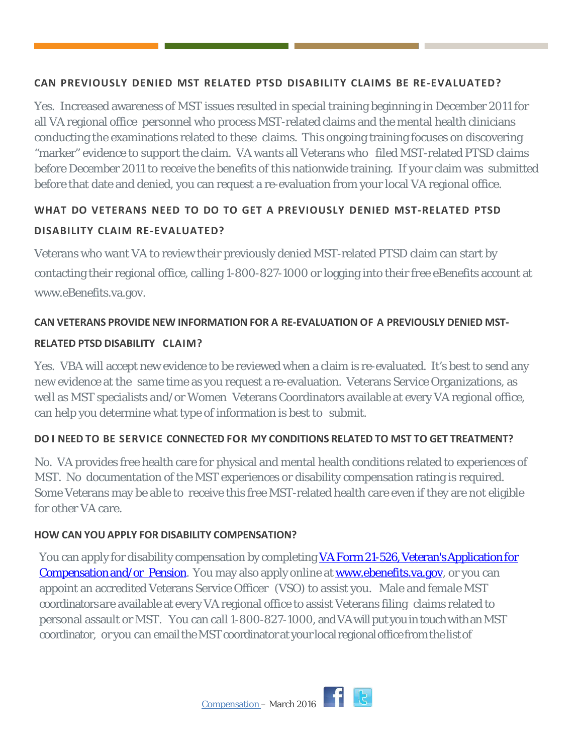#### **CAN PREVIOUSLY DENIED MST RELATED PTSD DISABILITY CLAIMS BE RE-EVALUATED?**

Yes. Increased awareness of MST issues resulted in special training beginning in December 2011 for all VA regional office personnel who process MST-related claims and the mental health clinicians conducting the examinations related to these claims. This ongoing training focuses on discovering "marker" evidence to support the claim. VA wants all Veterans who filed MST-related PTSD claims before December 2011 to receive the benefits of this nationwide training. If your claim was submitted before that date and denied, you can request a re-evaluation from your local VA regional office.

### **WHAT DO VETERANS NEED TO DO TO GET A PREVIOUSLY DENIED MST-RELATED PTSD DISABILITY CLAIM RE-EVALUATED?**

Veterans who want VA to review their previously denied MST-related PTSD claim can start by contacting their regional [office,](http://www.va.gov/directory/guide/division_flsh.asp?dnum=3) calling 1-800-827-1000 or logging into their free eBenefits account at [www.eBenefits.va.gov.](http://www.ebenefits.va.gov/)

#### **CAN VETERANS PROVIDE NEW INFORMATION FOR A RE-EVALUATION OF A PREVIOUSLY DENIED MST-**

#### **RELATED PTSD DISABILITY CLAIM?**

Yes. VBA will accept new evidence to be reviewed when a claim is re-evaluated. It's best to send any new evidence at the same time as you request a re-evaluation. Veterans Service Organizations, as well as MST specialists and/or Women Veterans Coordinators available at every VA regional office, can help you determine what type of information is best to submit.

### **DO I NEED TO BE SERVICE CONNECTED FOR MY CONDITIONS RELATED TO MST TO GET TREATMENT?**

No. VA provides free health care for physical and mental health conditions related to experiences of MST. No documentation of the MST experiences or disability compensation rating is required. Some Veterans may be able to receive this free MST-related health care even if they are not eligible for other VA care.

#### **HOW CAN YOU APPLY FOR DISABILITY COMPENSATION?**

You can apply for disability compensation by completing VA Form 21-526, Veteran's Application for [Compensation and/or Pension.](http://www.vba.va.gov/pubs/forms/VBA-21-526-ARE.pdf) You may also apply online at [www.ebenefits.va.gov,](http://www.ebenefits.va.gov/) or you can appoint an accredited Veterans Service Officer (VSO) to assist you. Male and female MST coordinators are available at every VA regional office to assist Veterans filing claims related to personal assault or MST. You can call 1-800-827-1000, and VA will put you in touchwith an MST coordinator, oryou can email theMST coordinator at your local regional office from the listof